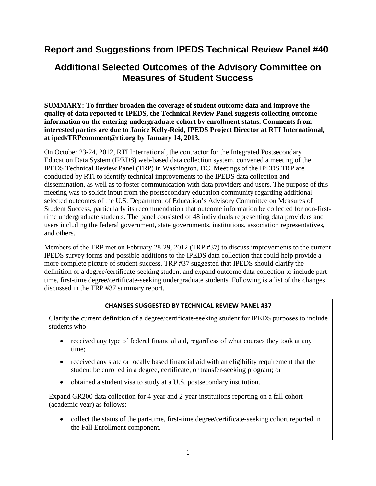# **Report and Suggestions from IPEDS Technical Review Panel #40**

# **Additional Selected Outcomes of the Advisory Committee on Measures of Student Success**

**SUMMARY: To further broaden the coverage of student outcome data and improve the quality of data reported to IPEDS, the Technical Review Panel suggests collecting outcome information on the entering undergraduate cohort by enrollment status. Comments from interested parties are due to Janice Kelly-Reid, IPEDS Project Director at RTI International, at ipedsTRPcomment@rti.org by January 14, 2013.** 

On October 23-24, 2012, RTI International, the contractor for the Integrated Postsecondary Education Data System (IPEDS) web-based data collection system, convened a meeting of the IPEDS Technical Review Panel (TRP) in Washington, DC. Meetings of the IPEDS TRP are conducted by RTI to identify technical improvements to the IPEDS data collection and dissemination, as well as to foster communication with data providers and users. The purpose of this meeting was to solicit input from the postsecondary education community regarding additional selected outcomes of the U.S. Department of Education's Advisory Committee on Measures of Student Success, particularly its recommendation that outcome information be collected for non-firsttime undergraduate students. The panel consisted of 48 individuals representing data providers and users including the federal government, state governments, institutions, association representatives, and others.

Members of the TRP met on February 28-29, 2012 (TRP #37) to discuss improvements to the current IPEDS survey forms and possible additions to the IPEDS data collection that could help provide a more complete picture of student success. TRP #37 suggested that IPEDS should clarify the definition of a degree/certificate-seeking student and expand outcome data collection to include parttime, first-time degree/certificate-seeking undergraduate students. Following is a list of the changes discussed in the TRP #37 summary report.

#### **CHANGES SUGGESTED BY TECHNICAL REVIEW PANEL #37**

Clarify the current definition of a degree/certificate-seeking student for IPEDS purposes to include students who

- received any type of federal financial aid, regardless of what courses they took at any time;
- received any state or locally based financial aid with an eligibility requirement that the student be enrolled in a degree, certificate, or transfer-seeking program; or
- obtained a student visa to study at a U.S. postsecondary institution.

Expand GR200 data collection for 4-year and 2-year institutions reporting on a fall cohort (academic year) as follows:

• collect the status of the part-time, first-time degree/certificate-seeking cohort reported in the Fall Enrollment component.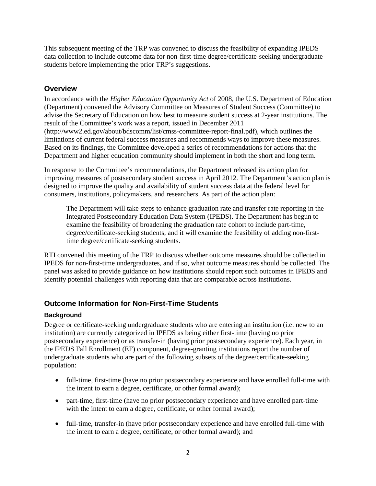This subsequent meeting of the TRP was convened to discuss the feasibility of expanding IPEDS data collection to include outcome data for non-first-time degree/certificate-seeking undergraduate students before implementing the prior TRP's suggestions.

## **Overview**

In accordance with the *Higher Education Opportunity Act* of 2008*,* the U.S. Department of Education (Department) convened the Advisory Committee on Measures of Student Success (Committee) to advise the Secretary of Education on how best to measure student success at 2-year institutions. The result of the Committee's work was a report, issued in December 2011 (http://www2.ed.gov/about/bdscomm/list/cmss-committee-report-final.pdf), which outlines the limitations of current federal success measures and recommends ways to improve these measures. Based on its findings, the Committee developed a series of recommendations for actions that the Department and higher education community should implement in both the short and long term.

In response to the Committee's recommendations, the Department released its action plan for improving measures of postsecondary student success in April 2012. The Department's action plan is designed to improve the quality and availability of student success data at the federal level for consumers, institutions, policymakers, and researchers. As part of the action plan:

The Department will take steps to enhance graduation rate and transfer rate reporting in the Integrated Postsecondary Education Data System (IPEDS). The Department has begun to examine the feasibility of broadening the graduation rate cohort to include part-time, degree/certificate-seeking students, and it will examine the feasibility of adding non-firsttime degree/certificate-seeking students.

RTI convened this meeting of the TRP to discuss whether outcome measures should be collected in IPEDS for non-first-time undergraduates, and if so, what outcome measures should be collected. The panel was asked to provide guidance on how institutions should report such outcomes in IPEDS and identify potential challenges with reporting data that are comparable across institutions.

# **Outcome Information for Non-First-Time Students**

#### **Background**

Degree or certificate-seeking undergraduate students who are entering an institution (i.e. new to an institution) are currently categorized in IPEDS as being either first-time (having no prior postsecondary experience) or as transfer-in (having prior postsecondary experience). Each year, in the IPEDS Fall Enrollment (EF) component, degree-granting institutions report the number of undergraduate students who are part of the following subsets of the degree/certificate-seeking population:

- full-time, first-time (have no prior postsecondary experience and have enrolled full-time with the intent to earn a degree, certificate, or other formal award);
- part-time, first-time (have no prior postsecondary experience and have enrolled part-time with the intent to earn a degree, certificate, or other formal award);
- full-time, transfer-in (have prior postsecondary experience and have enrolled full-time with the intent to earn a degree, certificate, or other formal award); and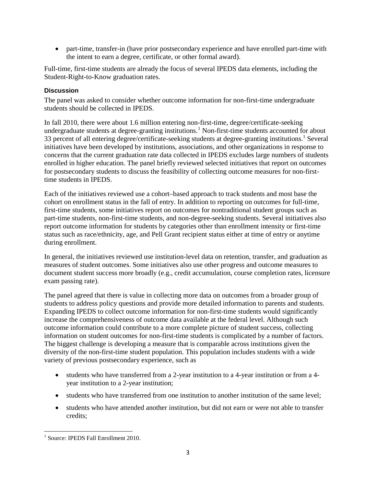• part-time, transfer-in (have prior postsecondary experience and have enrolled part-time with the intent to earn a degree, certificate, or other formal award).

Full-time, first-time students are already the focus of several IPEDS data elements, including the Student-Right-to-Know graduation rates.

#### **Discussion**

The panel was asked to consider whether outcome information for non-first-time undergraduate students should be collected in IPEDS.

In fall 2010, there were about 1.6 million entering non-first-time, degree/certificate-seeking undergraduate students at degree-granting institutions. [1](#page-2-0) Non-first-time students accounted for about 33 percent of all entering degree/certificate-seeking students at degree-granting institutions.1 Several initiatives have been developed by institutions, associations, and other organizations in response to concerns that the current graduation rate data collected in IPEDS excludes large numbers of students enrolled in higher education. The panel briefly reviewed selected initiatives that report on outcomes for postsecondary students to discuss the feasibility of collecting outcome measures for non-firsttime students in IPEDS.

Each of the initiatives reviewed use a cohort–based approach to track students and most base the cohort on enrollment status in the fall of entry. In addition to reporting on outcomes for full-time, first-time students, some initiatives report on outcomes for nontraditional student groups such as part-time students, non-first-time students, and non-degree-seeking students. Several initiatives also report outcome information for students by categories other than enrollment intensity or first-time status such as race/ethnicity, age, and Pell Grant recipient status either at time of entry or anytime during enrollment.

In general, the initiatives reviewed use institution-level data on retention, transfer, and graduation as measures of student outcomes. Some initiatives also use other progress and outcome measures to document student success more broadly (e.g., credit accumulation, course completion rates, licensure exam passing rate).

The panel agreed that there is value in collecting more data on outcomes from a broader group of students to address policy questions and provide more detailed information to parents and students. Expanding IPEDS to collect outcome information for non-first-time students would significantly increase the comprehensiveness of outcome data available at the federal level. Although such outcome information could contribute to a more complete picture of student success, collecting information on student outcomes for non-first-time students is complicated by a number of factors. The biggest challenge is developing a measure that is comparable across institutions given the diversity of the non-first-time student population. This population includes students with a wide variety of previous postsecondary experience, such as

- students who have transferred from a 2-year institution to a 4-year institution or from a 4 year institution to a 2-year institution;
- students who have transferred from one institution to another institution of the same level;
- students who have attended another institution, but did not earn or were not able to transfer credits;

l

<span id="page-2-0"></span><sup>&</sup>lt;sup>1</sup> Source: IPEDS Fall Enrollment 2010.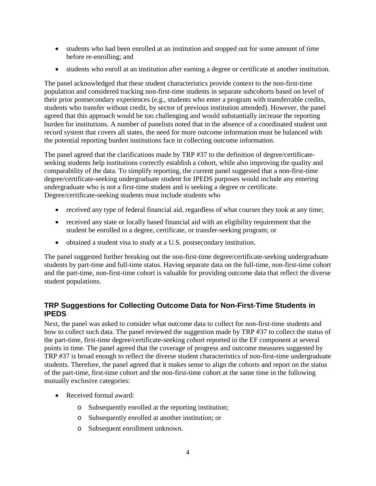- students who had been enrolled at an institution and stopped out for some amount of time before re-enrolling; and
- students who enroll at an institution after earning a degree or certificate at another institution.

The panel acknowledged that these student characteristics provide context to the non-first-time population and considered tracking non-first-time students in separate subcohorts based on level of their prior postsecondary experiences (e.g., students who enter a program with transferrable credits, students who transfer without credit, by sector of previous institution attended). However, the panel agreed that this approach would be too challenging and would substantially increase the reporting burden for institutions. A number of panelists noted that in the absence of a coordinated student unit record system that covers all states, the need for more outcome information must be balanced with the potential reporting burden institutions face in collecting outcome information.

The panel agreed that the clarifications made by TRP #37 to the definition of degree/certificateseeking students help institutions correctly establish a cohort, while also improving the quality and comparability of the data. To simplify reporting, the current panel suggested that a non-first-time degree/certificate-seeking undergraduate student for IPEDS purposes would include any entering undergraduate who is not a first-time student and is seeking a degree or certificate. Degree/certificate-seeking students must include students who

- received any type of federal financial aid, regardless of what courses they took at any time;
- received any state or locally based financial aid with an eligibility requirement that the student be enrolled in a degree, certificate, or transfer-seeking program; or
- obtained a student visa to study at a U.S. postsecondary institution.

The panel suggested further breaking out the non-first-time degree/certificate-seeking undergraduate students by part-time and full-time status. Having separate data on the full-time, non-first-time cohort and the part-time, non-first-time cohort is valuable for providing outcome data that reflect the diverse student populations.

# **TRP Suggestions for Collecting Outcome Data for Non-First-Time Students in IPEDS**

Next, the panel was asked to consider what outcome data to collect for non-first-time students and how to collect such data. The panel reviewed the suggestion made by TRP #37 to collect the status of the part-time, first-time degree/certificate-seeking cohort reported in the EF component at several points in time. The panel agreed that the coverage of progress and outcome measures suggested by TRP #37 is broad enough to reflect the diverse student characteristics of non-first-time undergraduate students. Therefore, the panel agreed that it makes sense to align the cohorts and report on the status of the part-time, first-time cohort and the non-first-time cohort at the same time in the following mutually exclusive categories:

- Received formal award:
	- o Subsequently enrolled at the reporting institution;
	- o Subsequently enrolled at another institution; or
	- o Subsequent enrollment unknown.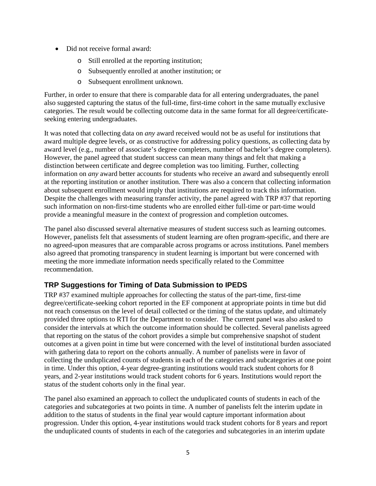- Did not receive formal award:
	- o Still enrolled at the reporting institution;
	- o Subsequently enrolled at another institution; or
	- o Subsequent enrollment unknown.

Further, in order to ensure that there is comparable data for all entering undergraduates, the panel also suggested capturing the status of the full-time, first-time cohort in the same mutually exclusive categories. The result would be collecting outcome data in the same format for all degree/certificateseeking entering undergraduates.

It was noted that collecting data on *any* award received would not be as useful for institutions that award multiple degree levels, or as constructive for addressing policy questions, as collecting data by award level (e.g., number of associate's degree completers, number of bachelor's degree completers). However, the panel agreed that student success can mean many things and felt that making a distinction between certificate and degree completion was too limiting. Further, collecting information on *any* award better accounts for students who receive an award and subsequently enroll at the reporting institution or another institution. There was also a concern that collecting information about subsequent enrollment would imply that institutions are required to track this information. Despite the challenges with measuring transfer activity, the panel agreed with TRP #37 that reporting such information on non-first-time students who are enrolled either full-time or part-time would provide a meaningful measure in the context of progression and completion outcomes.

The panel also discussed several alternative measures of student success such as learning outcomes. However, panelists felt that assessments of student learning are often program-specific, and there are no agreed-upon measures that are comparable across programs or across institutions. Panel members also agreed that promoting transparency in student learning is important but were concerned with meeting the more immediate information needs specifically related to the Committee recommendation.

# **TRP Suggestions for Timing of Data Submission to IPEDS**

TRP #37 examined multiple approaches for collecting the status of the part-time, first-time degree/certificate-seeking cohort reported in the EF component at appropriate points in time but did not reach consensus on the level of detail collected or the timing of the status update, and ultimately provided three options to RTI for the Department to consider. The current panel was also asked to consider the intervals at which the outcome information should be collected. Several panelists agreed that reporting on the status of the cohort provides a simple but comprehensive snapshot of student outcomes at a given point in time but were concerned with the level of institutional burden associated with gathering data to report on the cohorts annually. A number of panelists were in favor of collecting the unduplicated counts of students in each of the categories and subcategories at one point in time. Under this option, 4-year degree-granting institutions would track student cohorts for 8 years, and 2-year institutions would track student cohorts for 6 years. Institutions would report the status of the student cohorts only in the final year.

The panel also examined an approach to collect the unduplicated counts of students in each of the categories and subcategories at two points in time. A number of panelists felt the interim update in addition to the status of students in the final year would capture important information about progression. Under this option, 4-year institutions would track student cohorts for 8 years and report the unduplicated counts of students in each of the categories and subcategories in an interim update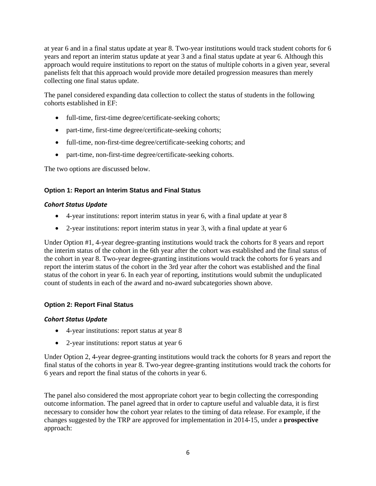at year 6 and in a final status update at year 8. Two-year institutions would track student cohorts for 6 years and report an interim status update at year 3 and a final status update at year 6. Although this approach would require institutions to report on the status of multiple cohorts in a given year, several panelists felt that this approach would provide more detailed progression measures than merely collecting one final status update.

The panel considered expanding data collection to collect the status of students in the following cohorts established in EF:

- full-time, first-time degree/certificate-seeking cohorts;
- part-time, first-time degree/certificate-seeking cohorts;
- full-time, non-first-time degree/certificate-seeking cohorts; and
- part-time, non-first-time degree/certificate-seeking cohorts.

The two options are discussed below.

#### **Option 1: Report an Interim Status and Final Status**

#### *Cohort Status Update*

- 4-year institutions: report interim status in year 6, with a final update at year 8
- 2-year institutions: report interim status in year 3, with a final update at year 6

Under Option #1, 4-year degree-granting institutions would track the cohorts for 8 years and report the interim status of the cohort in the 6th year after the cohort was established and the final status of the cohort in year 8. Two-year degree-granting institutions would track the cohorts for 6 years and report the interim status of the cohort in the 3rd year after the cohort was established and the final status of the cohort in year 6. In each year of reporting, institutions would submit the unduplicated count of students in each of the award and no-award subcategories shown above.

#### **Option 2: Report Final Status**

#### *Cohort Status Update*

- 4-year institutions: report status at year 8
- 2-year institutions: report status at year 6

Under Option 2, 4-year degree-granting institutions would track the cohorts for 8 years and report the final status of the cohorts in year 8. Two-year degree-granting institutions would track the cohorts for 6 years and report the final status of the cohorts in year 6.

The panel also considered the most appropriate cohort year to begin collecting the corresponding outcome information. The panel agreed that in order to capture useful and valuable data, it is first necessary to consider how the cohort year relates to the timing of data release. For example, if the changes suggested by the TRP are approved for implementation in 2014-15, under a **prospective** approach: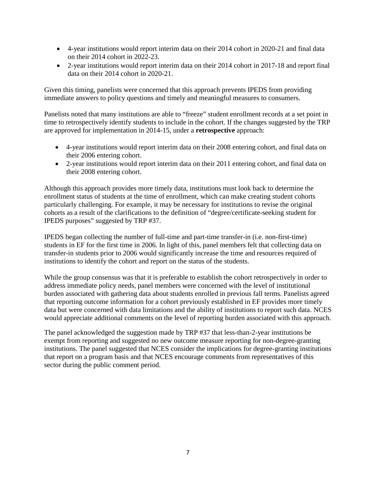- 4-year institutions would report interim data on their 2014 cohort in 2020-21 and final data on their 2014 cohort in 2022-23.
- 2-year institutions would report interim data on their 2014 cohort in 2017-18 and report final data on their 2014 cohort in 2020-21.

Given this timing, panelists were concerned that this approach prevents IPEDS from providing immediate answers to policy questions and timely and meaningful measures to consumers.

Panelists noted that many institutions are able to "freeze" student enrollment records at a set point in time to retrospectively identify students to include in the cohort. If the changes suggested by the TRP are approved for implementation in 2014-15, under a **retrospective** approach:

- 4-year institutions would report interim data on their 2008 entering cohort, and final data on their 2006 entering cohort.
- 2-year institutions would report interim data on their 2011 entering cohort, and final data on their 2008 entering cohort.

Although this approach provides more timely data, institutions must look back to determine the enrollment status of students at the time of enrollment, which can make creating student cohorts particularly challenging. For example, it may be necessary for institutions to revise the original cohorts as a result of the clarifications to the definition of "degree/certificate-seeking student for IPEDS purposes" suggested by TRP #37.

IPEDS began collecting the number of full-time and part-time transfer-in (i.e. non-first-time) students in EF for the first time in 2006. In light of this, panel members felt that collecting data on transfer-in students prior to 2006 would significantly increase the time and resources required of institutions to identify the cohort and report on the status of the students.

While the group consensus was that it is preferable to establish the cohort retrospectively in order to address immediate policy needs, panel members were concerned with the level of institutional burden associated with gathering data about students enrolled in previous fall terms. Panelists agreed that reporting outcome information for a cohort previously established in EF provides more timely data but were concerned with data limitations and the ability of institutions to report such data. NCES would appreciate additional comments on the level of reporting burden associated with this approach.

The panel acknowledged the suggestion made by TRP #37 that less-than-2-year institutions be exempt from reporting and suggested no new outcome measure reporting for non-degree-granting institutions. The panel suggested that NCES consider the implications for degree-granting institutions that report on a program basis and that NCES encourage comments from representatives of this sector during the public comment period.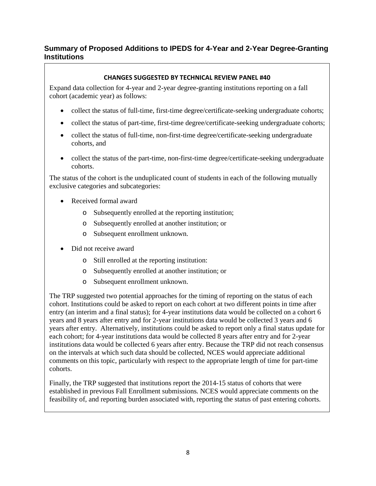# **Summary of Proposed Additions to IPEDS for 4-Year and 2-Year Degree-Granting Institutions**

### **CHANGES SUGGESTED BY TECHNICAL REVIEW PANEL #40**

Expand data collection for 4-year and 2-year degree-granting institutions reporting on a fall cohort (academic year) as follows:

- collect the status of full-time, first-time degree/certificate-seeking undergraduate cohorts;
- collect the status of part-time, first-time degree/certificate-seeking undergraduate cohorts;
- collect the status of full-time, non-first-time degree/certificate-seeking undergraduate cohorts, and
- collect the status of the part-time, non-first-time degree/certificate-seeking undergraduate cohorts.

The status of the cohort is the unduplicated count of students in each of the following mutually exclusive categories and subcategories:

- Received formal award
	- o Subsequently enrolled at the reporting institution;
	- o Subsequently enrolled at another institution; or
	- o Subsequent enrollment unknown.
- Did not receive award
	- o Still enrolled at the reporting institution:
	- o Subsequently enrolled at another institution; or
	- o Subsequent enrollment unknown.

The TRP suggested two potential approaches for the timing of reporting on the status of each cohort. Institutions could be asked to report on each cohort at two different points in time after entry (an interim and a final status); for 4-year institutions data would be collected on a cohort 6 years and 8 years after entry and for 2-year institutions data would be collected 3 years and 6 years after entry. Alternatively, institutions could be asked to report only a final status update for each cohort; for 4-year institutions data would be collected 8 years after entry and for 2-year institutions data would be collected 6 years after entry. Because the TRP did not reach consensus on the intervals at which such data should be collected, NCES would appreciate additional comments on this topic, particularly with respect to the appropriate length of time for part-time cohorts.

Finally, the TRP suggested that institutions report the 2014-15 status of cohorts that were established in previous Fall Enrollment submissions. NCES would appreciate comments on the feasibility of, and reporting burden associated with, reporting the status of past entering cohorts.